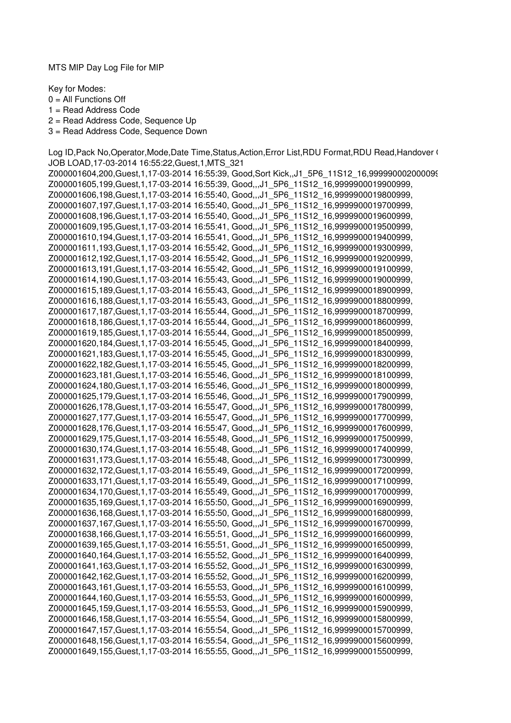MTS MIP Day Log File for MIP

Key for Modes:

 $0 =$  All Functions Off

1 = Read Address Code

2 = Read Address Code, Sequence Up

3 = Read Address Code, Sequence Down

Log ID, Pack No, Operator, Mode, Date Time, Status, Action, Error List, RDU Format, RDU Read, Handover ( JOB LOAD,17-03-2014 16:55:22,Guest,1,MTS\_321 Z000001604,200,Guest,1,17-03-2014 16:55:39, Good,Sort Kick,,J1 5P6 11S12 16,999990002000099 Z000001605,199,Guest,1,17-03-2014 16:55:39, Good,,,J1\_5P6\_11S12\_16,9999900019900999, Z000001606,198,Guest,1,17-03-2014 16:55:40, Good,,,J1\_5P6\_11S12\_16,9999900019800999, Z000001607,197,Guest,1,17-03-2014 16:55:40, Good,,,J1\_5P6\_11S12\_16,9999900019700999, Z000001608,196,Guest,1,17-03-2014 16:55:40, Good,,,J1\_5P6\_11S12\_16,9999900019600999, Z000001609,195,Guest,1,17-03-2014 16:55:41, Good,,,J1\_5P6\_11S12\_16,9999900019500999, Z000001610,194,Guest,1,17-03-2014 16:55:41, Good,,,J1\_5P6\_11S12\_16,9999900019400999, Z000001611,193,Guest,1,17-03-2014 16:55:42, Good,,,J1\_5P6\_11S12\_16,9999900019300999, Z000001612,192,Guest,1,17-03-2014 16:55:42, Good,,,J1\_5P6\_11S12\_16,9999900019200999, Z000001613,191,Guest,1,17-03-2014 16:55:42, Good,,,J1\_5P6\_11S12\_16,9999900019100999, Z000001614,190,Guest,1,17-03-2014 16:55:43, Good,,,J1\_5P6\_11S12\_16,9999900019000999, Z000001615,189,Guest,1,17-03-2014 16:55:43, Good,,,J1\_5P6\_11S12\_16,9999900018900999, Z000001616,188,Guest,1,17-03-2014 16:55:43, Good,,,J1\_5P6\_11S12\_16,9999900018800999, Z000001617,187,Guest,1,17-03-2014 16:55:44, Good,,,J1\_5P6\_11S12\_16,9999900018700999, Z000001618,186,Guest,1,17-03-2014 16:55:44, Good,,,J1\_5P6\_11S12\_16,9999900018600999, Z000001619,185,Guest,1,17-03-2014 16:55:44, Good,,,J1\_5P6\_11S12\_16,9999900018500999, Z000001620,184,Guest,1,17-03-2014 16:55:45, Good,,,J1\_5P6\_11S12\_16,9999900018400999, Z000001621,183,Guest,1,17-03-2014 16:55:45, Good,,,J1\_5P6\_11S12\_16,9999900018300999, Z000001622,182,Guest,1,17-03-2014 16:55:45, Good,,,J1\_5P6\_11S12\_16,9999900018200999, Z000001623,181,Guest,1,17-03-2014 16:55:46, Good,,,J1\_5P6\_11S12\_16,9999900018100999, Z000001624,180,Guest,1,17-03-2014 16:55:46, Good,,,J1\_5P6\_11S12\_16,9999900018000999, Z000001625,179,Guest,1,17-03-2014 16:55:46, Good,,,J1\_5P6\_11S12\_16,9999900017900999, Z000001626,178,Guest,1,17-03-2014 16:55:47, Good,,,J1\_5P6\_11S12\_16,9999900017800999, Z000001627,177,Guest,1,17-03-2014 16:55:47, Good,,,J1\_5P6\_11S12\_16,9999900017700999, Z000001628,176,Guest,1,17-03-2014 16:55:47, Good,,,J1\_5P6\_11S12\_16,9999900017600999, Z000001629,175,Guest,1,17-03-2014 16:55:48, Good,,,J1\_5P6\_11S12\_16,9999900017500999, Z000001630,174,Guest,1,17-03-2014 16:55:48, Good,,,J1\_5P6\_11S12\_16,9999900017400999, Z000001631,173,Guest,1,17-03-2014 16:55:48, Good,,,J1\_5P6\_11S12\_16,9999900017300999, Z000001632,172,Guest,1,17-03-2014 16:55:49, Good,,,J1\_5P6\_11S12\_16,9999900017200999, Z000001633,171,Guest,1,17-03-2014 16:55:49, Good,,,J1\_5P6\_11S12\_16,9999900017100999, Z000001634,170,Guest,1,17-03-2014 16:55:49, Good,,,J1\_5P6\_11S12\_16,9999900017000999, Z000001635,169,Guest,1,17-03-2014 16:55:50, Good,,,J1\_5P6\_11S12\_16,9999900016900999, Z000001636,168,Guest,1,17-03-2014 16:55:50, Good,,,J1\_5P6\_11S12\_16,9999900016800999, Z000001637,167,Guest,1,17-03-2014 16:55:50, Good,,,J1\_5P6\_11S12\_16,9999900016700999, Z000001638,166,Guest,1,17-03-2014 16:55:51, Good,,,J1\_5P6\_11S12\_16,9999900016600999, Z000001639,165,Guest,1,17-03-2014 16:55:51, Good,,,J1\_5P6\_11S12\_16,9999900016500999, Z000001640,164,Guest,1,17-03-2014 16:55:52, Good,,,J1\_5P6\_11S12\_16,9999900016400999, Z000001641,163,Guest,1,17-03-2014 16:55:52, Good,,,J1\_5P6\_11S12\_16,9999900016300999, Z000001642,162,Guest,1,17-03-2014 16:55:52, Good,,,J1\_5P6\_11S12\_16,9999900016200999, Z000001643,161,Guest,1,17-03-2014 16:55:53, Good,,,J1\_5P6\_11S12\_16,9999900016100999, Z000001644,160,Guest,1,17-03-2014 16:55:53, Good,,,J1\_5P6\_11S12\_16,9999900016000999, Z000001645,159,Guest,1,17-03-2014 16:55:53, Good,,,J1\_5P6\_11S12\_16,9999900015900999, Z000001646,158,Guest,1,17-03-2014 16:55:54, Good,,,J1\_5P6\_11S12\_16,9999900015800999, Z000001647,157,Guest,1,17-03-2014 16:55:54, Good,,,J1\_5P6\_11S12\_16,9999900015700999, Z000001648,156,Guest,1,17-03-2014 16:55:54, Good,,,J1\_5P6\_11S12\_16,9999900015600999, Z000001649,155,Guest,1,17-03-2014 16:55:55, Good,,,J1\_5P6\_11S12\_16,9999900015500999,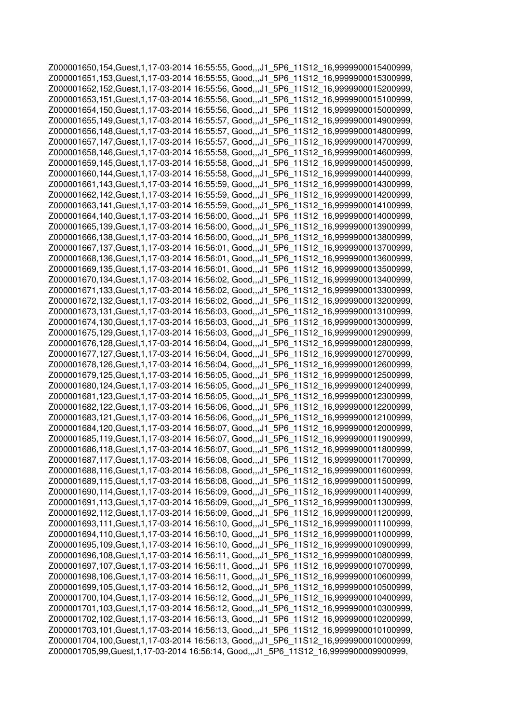Z000001650,154,Guest,1,17-03-2014 16:55:55, Good,,,J1\_5P6\_11S12\_16,9999900015400999, Z000001651,153,Guest,1,17-03-2014 16:55:55, Good,,,J1\_5P6\_11S12\_16,9999900015300999, Z000001652,152,Guest,1,17-03-2014 16:55:56, Good,,,J1\_5P6\_11S12\_16,9999900015200999, Z000001653,151,Guest,1,17-03-2014 16:55:56, Good,,,J1\_5P6\_11S12\_16,9999900015100999, Z000001654,150,Guest,1,17-03-2014 16:55:56, Good,,,J1\_5P6\_11S12\_16,9999900015000999, Z000001655,149,Guest,1,17-03-2014 16:55:57, Good,,,J1\_5P6\_11S12\_16,9999900014900999, Z000001656,148,Guest,1,17-03-2014 16:55:57, Good,,,J1\_5P6\_11S12\_16,9999900014800999, Z000001657,147,Guest,1,17-03-2014 16:55:57, Good,,,J1\_5P6\_11S12\_16,9999900014700999, Z000001658,146,Guest,1,17-03-2014 16:55:58, Good,,,J1\_5P6\_11S12\_16,9999900014600999, Z000001659,145,Guest,1,17-03-2014 16:55:58, Good,,,J1\_5P6\_11S12\_16,9999900014500999, Z000001660,144,Guest,1,17-03-2014 16:55:58, Good,,,J1\_5P6\_11S12\_16,9999900014400999, Z000001661,143,Guest,1,17-03-2014 16:55:59, Good,,,J1\_5P6\_11S12\_16,9999900014300999, Z000001662,142,Guest,1,17-03-2014 16:55:59, Good,,,J1\_5P6\_11S12\_16,9999900014200999, Z000001663,141,Guest,1,17-03-2014 16:55:59, Good,,,J1\_5P6\_11S12\_16,9999900014100999, Z000001664,140,Guest,1,17-03-2014 16:56:00, Good,,,J1\_5P6\_11S12\_16,9999900014000999, Z000001665,139,Guest,1,17-03-2014 16:56:00, Good,,,J1\_5P6\_11S12\_16,9999900013900999, Z000001666,138,Guest,1,17-03-2014 16:56:00, Good,,,J1\_5P6\_11S12\_16,9999900013800999, Z000001667,137,Guest,1,17-03-2014 16:56:01, Good,,,J1\_5P6\_11S12\_16,9999900013700999, Z000001668,136,Guest,1,17-03-2014 16:56:01, Good,,,J1\_5P6\_11S12\_16,9999900013600999, Z000001669,135,Guest,1,17-03-2014 16:56:01, Good,,,J1\_5P6\_11S12\_16,9999900013500999, Z000001670,134,Guest,1,17-03-2014 16:56:02, Good,,,J1\_5P6\_11S12\_16,9999900013400999, Z000001671,133,Guest,1,17-03-2014 16:56:02, Good,,,J1\_5P6\_11S12\_16,9999900013300999, Z000001672,132,Guest,1,17-03-2014 16:56:02, Good,,,J1\_5P6\_11S12\_16,9999900013200999, Z000001673,131,Guest,1,17-03-2014 16:56:03, Good,,,J1\_5P6\_11S12\_16,9999900013100999, Z000001674,130,Guest,1,17-03-2014 16:56:03, Good,,,J1\_5P6\_11S12\_16,9999900013000999, Z000001675,129,Guest,1,17-03-2014 16:56:03, Good,,,J1\_5P6\_11S12\_16,9999900012900999, Z000001676,128,Guest,1,17-03-2014 16:56:04, Good,,,J1\_5P6\_11S12\_16,9999900012800999, Z000001677,127,Guest,1,17-03-2014 16:56:04, Good,,,J1\_5P6\_11S12\_16,9999900012700999, Z000001678,126,Guest,1,17-03-2014 16:56:04, Good,,,J1\_5P6\_11S12\_16,9999900012600999, Z000001679,125,Guest,1,17-03-2014 16:56:05, Good,,,J1\_5P6\_11S12\_16,9999900012500999, Z000001680,124,Guest,1,17-03-2014 16:56:05, Good,,,J1\_5P6\_11S12\_16,9999900012400999, Z000001681,123,Guest,1,17-03-2014 16:56:05, Good,,,J1\_5P6\_11S12\_16,9999900012300999, Z000001682,122,Guest,1,17-03-2014 16:56:06, Good,,,J1\_5P6\_11S12\_16,9999900012200999, Z000001683,121,Guest,1,17-03-2014 16:56:06, Good,,,J1\_5P6\_11S12\_16,9999900012100999, Z000001684,120,Guest,1,17-03-2014 16:56:07, Good,,,J1\_5P6\_11S12\_16,9999900012000999, Z000001685,119,Guest,1,17-03-2014 16:56:07, Good,,,J1\_5P6\_11S12\_16,9999900011900999, Z000001686,118,Guest,1,17-03-2014 16:56:07, Good,,,J1\_5P6\_11S12\_16,9999900011800999, Z000001687,117,Guest,1,17-03-2014 16:56:08, Good,,,J1\_5P6\_11S12\_16,9999900011700999, Z000001688,116,Guest,1,17-03-2014 16:56:08, Good,,,J1\_5P6\_11S12\_16,9999900011600999, Z000001689,115,Guest,1,17-03-2014 16:56:08, Good,,,J1\_5P6\_11S12\_16,9999900011500999, Z000001690,114,Guest,1,17-03-2014 16:56:09, Good,,,J1\_5P6\_11S12\_16,9999900011400999, Z000001691,113,Guest,1,17-03-2014 16:56:09, Good,,,J1\_5P6\_11S12\_16,9999900011300999, Z000001692,112,Guest,1,17-03-2014 16:56:09, Good,,,J1\_5P6\_11S12\_16,9999900011200999, Z000001693,111,Guest,1,17-03-2014 16:56:10, Good,,,J1\_5P6\_11S12\_16,9999900011100999, Z000001694,110,Guest,1,17-03-2014 16:56:10, Good,,,J1\_5P6\_11S12\_16,9999900011000999, Z000001695,109,Guest,1,17-03-2014 16:56:10, Good,,,J1\_5P6\_11S12\_16,9999900010900999, Z000001696,108,Guest,1,17-03-2014 16:56:11, Good,,,J1\_5P6\_11S12\_16,9999900010800999, Z000001697,107,Guest,1,17-03-2014 16:56:11, Good,,,J1\_5P6\_11S12\_16,9999900010700999, Z000001698,106,Guest,1,17-03-2014 16:56:11, Good,,,J1\_5P6\_11S12\_16,9999900010600999, Z000001699,105,Guest,1,17-03-2014 16:56:12, Good,,,J1\_5P6\_11S12\_16,9999900010500999, Z000001700,104,Guest,1,17-03-2014 16:56:12, Good,,,J1\_5P6\_11S12\_16,9999900010400999, Z000001701,103,Guest,1,17-03-2014 16:56:12, Good,,,J1\_5P6\_11S12\_16,9999900010300999, Z000001702,102,Guest,1,17-03-2014 16:56:13, Good,,,J1\_5P6\_11S12\_16,9999900010200999, Z000001703,101,Guest,1,17-03-2014 16:56:13, Good,,,J1\_5P6\_11S12\_16,9999900010100999, Z000001704,100,Guest,1,17-03-2014 16:56:13, Good,,,J1\_5P6\_11S12\_16,9999900010000999, Z000001705,99,Guest,1,17-03-2014 16:56:14, Good,,,J1\_5P6\_11S12\_16,9999900009900999,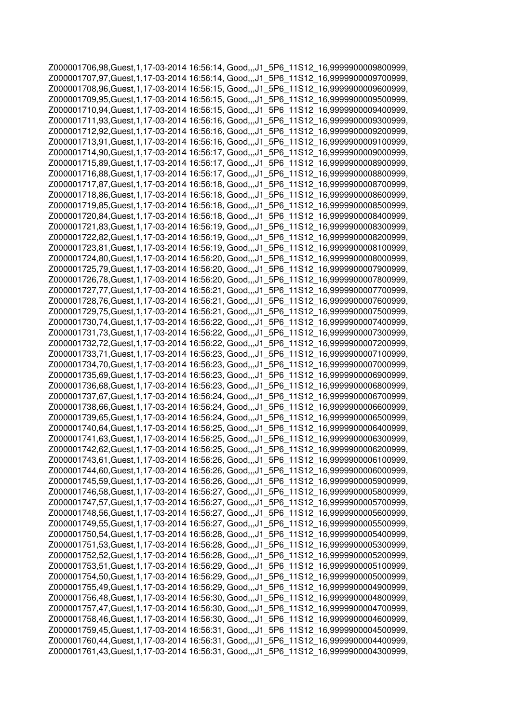Z000001706,98,Guest,1,17-03-2014 16:56:14, Good,,,J1\_5P6\_11S12\_16,9999900009800999, Z000001707,97,Guest,1,17-03-2014 16:56:14, Good,,,J1\_5P6\_11S12\_16,9999900009700999, Z000001708,96,Guest,1,17-03-2014 16:56:15, Good,,,J1\_5P6\_11S12\_16,9999900009600999, Z000001709,95,Guest,1,17-03-2014 16:56:15, Good,,,J1\_5P6\_11S12\_16,9999900009500999, Z000001710,94,Guest,1,17-03-2014 16:56:15, Good,,,J1\_5P6\_11S12\_16,9999900009400999, Z000001711,93,Guest,1,17-03-2014 16:56:16, Good,,,J1\_5P6\_11S12\_16,9999900009300999, Z000001712,92,Guest,1,17-03-2014 16:56:16, Good,,,J1\_5P6\_11S12\_16,9999900009200999, Z000001713,91,Guest,1,17-03-2014 16:56:16, Good,,,J1\_5P6\_11S12\_16,9999900009100999, Z000001714,90,Guest,1,17-03-2014 16:56:17, Good,,,J1\_5P6\_11S12\_16,9999900009000999, Z000001715,89,Guest,1,17-03-2014 16:56:17, Good,,,J1\_5P6\_11S12\_16,9999900008900999, Z000001716,88,Guest,1,17-03-2014 16:56:17, Good,,,J1\_5P6\_11S12\_16,9999900008800999, Z000001717,87,Guest,1,17-03-2014 16:56:18, Good,,,J1\_5P6\_11S12\_16,9999900008700999, Z000001718,86,Guest,1,17-03-2014 16:56:18, Good,,,J1\_5P6\_11S12\_16,9999900008600999, Z000001719,85,Guest,1,17-03-2014 16:56:18, Good,,,J1\_5P6\_11S12\_16,9999900008500999, Z000001720,84,Guest,1,17-03-2014 16:56:18, Good,,,J1\_5P6\_11S12\_16,9999900008400999, Z000001721,83,Guest,1,17-03-2014 16:56:19, Good,,,J1\_5P6\_11S12\_16,9999900008300999, Z000001722,82,Guest,1,17-03-2014 16:56:19, Good,,,J1\_5P6\_11S12\_16,9999900008200999, Z000001723,81,Guest,1,17-03-2014 16:56:19, Good,,,J1\_5P6\_11S12\_16,9999900008100999, Z000001724,80,Guest,1,17-03-2014 16:56:20, Good,,,J1\_5P6\_11S12\_16,9999900008000999, Z000001725,79,Guest,1,17-03-2014 16:56:20, Good,,,J1\_5P6\_11S12\_16,9999900007900999, Z000001726,78,Guest,1,17-03-2014 16:56:20, Good,,,J1\_5P6\_11S12\_16,9999900007800999, Z000001727,77,Guest,1,17-03-2014 16:56:21, Good,,,J1\_5P6\_11S12\_16,9999900007700999, Z000001728,76,Guest,1,17-03-2014 16:56:21, Good,,,J1\_5P6\_11S12\_16,9999900007600999, Z000001729,75,Guest,1,17-03-2014 16:56:21, Good,,,J1\_5P6\_11S12\_16,9999900007500999, Z000001730,74,Guest,1,17-03-2014 16:56:22, Good,,,J1\_5P6\_11S12\_16,9999900007400999, Z000001731,73,Guest,1,17-03-2014 16:56:22, Good,,,J1\_5P6\_11S12\_16,9999900007300999, Z000001732,72,Guest,1,17-03-2014 16:56:22, Good,,,J1\_5P6\_11S12\_16,9999900007200999, Z000001733,71,Guest,1,17-03-2014 16:56:23, Good,,,J1\_5P6\_11S12\_16,9999900007100999, Z000001734,70,Guest,1,17-03-2014 16:56:23, Good,,,J1\_5P6\_11S12\_16,9999900007000999, Z000001735,69,Guest,1,17-03-2014 16:56:23, Good,,,J1\_5P6\_11S12\_16,9999900006900999, Z000001736,68,Guest,1,17-03-2014 16:56:23, Good,,,J1\_5P6\_11S12\_16,9999900006800999, Z000001737,67,Guest,1,17-03-2014 16:56:24, Good,,,J1\_5P6\_11S12\_16,9999900006700999, Z000001738,66,Guest,1,17-03-2014 16:56:24, Good,,,J1\_5P6\_11S12\_16,9999900006600999, Z000001739,65,Guest,1,17-03-2014 16:56:24, Good,,,J1\_5P6\_11S12\_16,9999900006500999, Z000001740,64,Guest,1,17-03-2014 16:56:25, Good,,,J1\_5P6\_11S12\_16,9999900006400999, Z000001741,63,Guest,1,17-03-2014 16:56:25, Good,,,J1\_5P6\_11S12\_16,9999900006300999, Z000001742,62,Guest,1,17-03-2014 16:56:25, Good,,,J1\_5P6\_11S12\_16,9999900006200999, Z000001743,61,Guest,1,17-03-2014 16:56:26, Good,,,J1\_5P6\_11S12\_16,9999900006100999, Z000001744,60,Guest,1,17-03-2014 16:56:26, Good,,,J1\_5P6\_11S12\_16,9999900006000999, Z000001745,59,Guest,1,17-03-2014 16:56:26, Good,,,J1\_5P6\_11S12\_16,9999900005900999, Z000001746,58,Guest,1,17-03-2014 16:56:27, Good,,,J1\_5P6\_11S12\_16,9999900005800999, Z000001747,57,Guest,1,17-03-2014 16:56:27, Good,,,J1\_5P6\_11S12\_16,9999900005700999, Z000001748,56,Guest,1,17-03-2014 16:56:27, Good,,,J1\_5P6\_11S12\_16,9999900005600999, Z000001749,55,Guest,1,17-03-2014 16:56:27, Good,,,J1\_5P6\_11S12\_16,9999900005500999, Z000001750,54,Guest,1,17-03-2014 16:56:28, Good,,,J1\_5P6\_11S12\_16,9999900005400999, Z000001751,53,Guest,1,17-03-2014 16:56:28, Good,,,J1\_5P6\_11S12\_16,9999900005300999, Z000001752,52,Guest,1,17-03-2014 16:56:28, Good,,,J1\_5P6\_11S12\_16,9999900005200999, Z000001753,51,Guest,1,17-03-2014 16:56:29, Good,,,J1\_5P6\_11S12\_16,9999900005100999, Z000001754,50,Guest,1,17-03-2014 16:56:29, Good,,,J1\_5P6\_11S12\_16,9999900005000999, Z000001755,49,Guest,1,17-03-2014 16:56:29, Good,,,J1\_5P6\_11S12\_16,9999900004900999, Z000001756,48,Guest,1,17-03-2014 16:56:30, Good,,,J1\_5P6\_11S12\_16,9999900004800999, Z000001757,47,Guest,1,17-03-2014 16:56:30, Good,,,J1\_5P6\_11S12\_16,9999900004700999, Z000001758,46,Guest,1,17-03-2014 16:56:30, Good,,,J1\_5P6\_11S12\_16,9999900004600999, Z000001759,45,Guest,1,17-03-2014 16:56:31, Good,,,J1\_5P6\_11S12\_16,9999900004500999, Z000001760,44,Guest,1,17-03-2014 16:56:31, Good,,,J1\_5P6\_11S12\_16,9999900004400999, Z000001761,43,Guest,1,17-03-2014 16:56:31, Good,,,J1\_5P6\_11S12\_16,9999900004300999,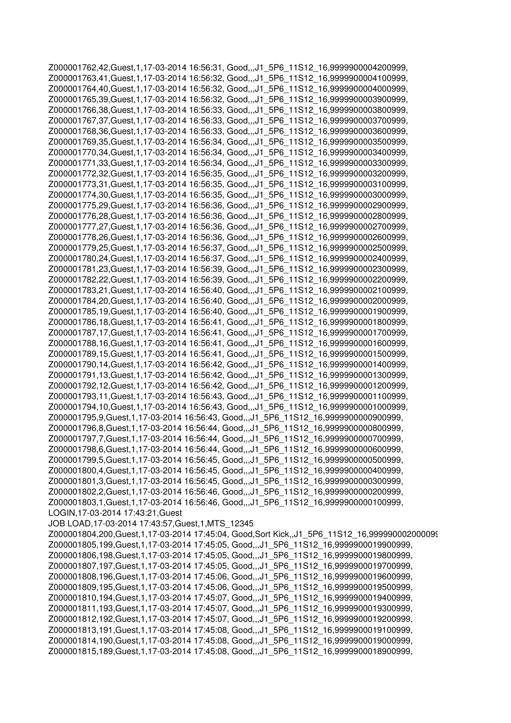Z000001762,42,Guest,1,17-03-2014 16:56:31, Good,,,J1\_5P6\_11S12\_16,9999900004200999, Z000001763,41,Guest,1,17-03-2014 16:56:32, Good,,,J1\_5P6\_11S12\_16,9999900004100999, Z000001764,40,Guest,1,17-03-2014 16:56:32, Good,,,J1\_5P6\_11S12\_16,9999900004000999, Z000001765,39,Guest,1,17-03-2014 16:56:32, Good,,,J1\_5P6\_11S12\_16,9999900003900999, Z000001766,38,Guest,1,17-03-2014 16:56:33, Good,,,J1\_5P6\_11S12\_16,9999900003800999, Z000001767,37,Guest,1,17-03-2014 16:56:33, Good,,,J1\_5P6\_11S12\_16,9999900003700999, Z000001768,36,Guest,1,17-03-2014 16:56:33, Good,,,J1\_5P6\_11S12\_16,9999900003600999, Z000001769,35,Guest,1,17-03-2014 16:56:34, Good,,,J1\_5P6\_11S12\_16,9999900003500999, Z000001770,34,Guest,1,17-03-2014 16:56:34, Good,,,J1\_5P6\_11S12\_16,9999900003400999, Z000001771,33,Guest,1,17-03-2014 16:56:34, Good,,,J1\_5P6\_11S12\_16,9999900003300999, Z000001772,32,Guest,1,17-03-2014 16:56:35, Good,,,J1\_5P6\_11S12\_16,9999900003200999, Z000001773,31,Guest,1,17-03-2014 16:56:35, Good,,,J1\_5P6\_11S12\_16,9999900003100999, Z000001774,30,Guest,1,17-03-2014 16:56:35, Good,,,J1\_5P6\_11S12\_16,9999900003000999, Z000001775,29,Guest,1,17-03-2014 16:56:36, Good,,,J1\_5P6\_11S12\_16,9999900002900999, Z000001776,28,Guest,1,17-03-2014 16:56:36, Good,,,J1\_5P6\_11S12\_16,9999900002800999, Z000001777,27,Guest,1,17-03-2014 16:56:36, Good,,,J1\_5P6\_11S12\_16,9999900002700999, Z000001778,26,Guest,1,17-03-2014 16:56:36, Good,,,J1\_5P6\_11S12\_16,9999900002600999, Z000001779,25,Guest,1,17-03-2014 16:56:37, Good,,,J1\_5P6\_11S12\_16,9999900002500999, Z000001780,24,Guest,1,17-03-2014 16:56:37, Good,,,J1\_5P6\_11S12\_16,9999900002400999, Z000001781,23,Guest,1,17-03-2014 16:56:39, Good,,,J1\_5P6\_11S12\_16,9999900002300999, Z000001782,22,Guest,1,17-03-2014 16:56:39, Good,,,J1\_5P6\_11S12\_16,9999900002200999, Z000001783,21,Guest,1,17-03-2014 16:56:40, Good,,,J1\_5P6\_11S12\_16,9999900002100999, Z000001784,20,Guest,1,17-03-2014 16:56:40, Good,,,J1\_5P6\_11S12\_16,9999900002000999, Z000001785,19,Guest,1,17-03-2014 16:56:40, Good,,,J1\_5P6\_11S12\_16,9999900001900999, Z000001786,18,Guest,1,17-03-2014 16:56:41, Good,,,J1\_5P6\_11S12\_16,9999900001800999, Z000001787,17,Guest,1,17-03-2014 16:56:41, Good,,,J1\_5P6\_11S12\_16,9999900001700999, Z000001788,16,Guest,1,17-03-2014 16:56:41, Good,,,J1\_5P6\_11S12\_16,9999900001600999, Z000001789,15,Guest,1,17-03-2014 16:56:41, Good,,,J1\_5P6\_11S12\_16,9999900001500999, Z000001790,14,Guest,1,17-03-2014 16:56:42, Good,,,J1\_5P6\_11S12\_16,9999900001400999, Z000001791,13,Guest,1,17-03-2014 16:56:42, Good,,,J1\_5P6\_11S12\_16,9999900001300999, Z000001792,12,Guest,1,17-03-2014 16:56:42, Good,,,J1\_5P6\_11S12\_16,9999900001200999, Z000001793,11,Guest,1,17-03-2014 16:56:43, Good,,,J1\_5P6\_11S12\_16,9999900001100999, Z000001794,10,Guest,1,17-03-2014 16:56:43, Good,,,J1\_5P6\_11S12\_16,9999900001000999, Z000001795,9,Guest,1,17-03-2014 16:56:43, Good,,,J1\_5P6\_11S12\_16,9999900000900999, Z000001796,8,Guest,1,17-03-2014 16:56:44, Good,,,J1\_5P6\_11S12\_16,9999900000800999, Z000001797,7,Guest,1,17-03-2014 16:56:44, Good,,,J1\_5P6\_11S12\_16,9999900000700999, Z000001798,6,Guest,1,17-03-2014 16:56:44, Good,,,J1\_5P6\_11S12\_16,9999900000600999, Z000001799,5,Guest,1,17-03-2014 16:56:45, Good,,,J1\_5P6\_11S12\_16,9999900000500999, Z000001800,4,Guest,1,17-03-2014 16:56:45, Good,,,J1\_5P6\_11S12\_16,9999900000400999, Z000001801,3,Guest,1,17-03-2014 16:56:45, Good,,,J1\_5P6\_11S12\_16,9999900000300999, Z000001802,2,Guest,1,17-03-2014 16:56:46, Good,,,J1\_5P6\_11S12\_16,9999900000200999, Z000001803,1,Guest,1,17-03-2014 16:56:46, Good,,,J1\_5P6\_11S12\_16,9999900000100999, LOGIN,17-03-2014 17:43:21,Guest JOB LOAD,17-03-2014 17:43:57,Guest,1,MTS\_12345 Z000001804,200,Guest,1,17-03-2014 17:45:04, Good,Sort Kick,,J1\_5P6\_11S12\_16,999990002000099 Z000001805,199,Guest,1,17-03-2014 17:45:05, Good,,,J1\_5P6\_11S12\_16,9999900019900999, Z000001806,198,Guest,1,17-03-2014 17:45:05, Good,,,J1\_5P6\_11S12\_16,9999900019800999, Z000001807,197,Guest,1,17-03-2014 17:45:05, Good,,,J1\_5P6\_11S12\_16,9999900019700999, Z000001808,196,Guest,1,17-03-2014 17:45:06, Good,,,J1\_5P6\_11S12\_16,9999900019600999, Z000001809,195,Guest,1,17-03-2014 17:45:06, Good,,,J1\_5P6\_11S12\_16,9999900019500999, Z000001810,194,Guest,1,17-03-2014 17:45:07, Good,,,J1\_5P6\_11S12\_16,9999900019400999, Z000001811,193,Guest,1,17-03-2014 17:45:07, Good,,,J1\_5P6\_11S12\_16,9999900019300999, Z000001812,192,Guest,1,17-03-2014 17:45:07, Good,,,J1\_5P6\_11S12\_16,9999900019200999, Z000001813,191,Guest,1,17-03-2014 17:45:08, Good,,,J1\_5P6\_11S12\_16,9999900019100999, Z000001814,190,Guest,1,17-03-2014 17:45:08, Good,,,J1\_5P6\_11S12\_16,9999900019000999, Z000001815,189,Guest,1,17-03-2014 17:45:08, Good,,,J1\_5P6\_11S12\_16,9999900018900999,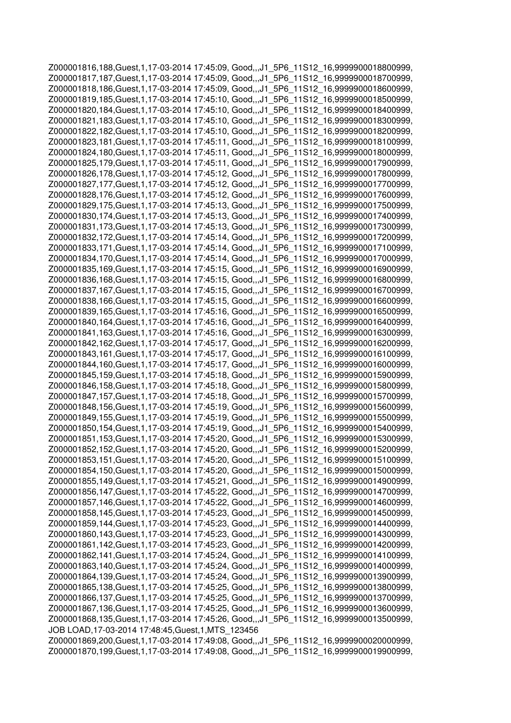Z000001816,188,Guest,1,17-03-2014 17:45:09, Good,,,J1\_5P6\_11S12\_16,9999900018800999, Z000001817,187,Guest,1,17-03-2014 17:45:09, Good,,,J1\_5P6\_11S12\_16,9999900018700999, Z000001818,186,Guest,1,17-03-2014 17:45:09, Good,,,J1\_5P6\_11S12\_16,9999900018600999, Z000001819,185,Guest,1,17-03-2014 17:45:10, Good,,,J1\_5P6\_11S12\_16,9999900018500999, Z000001820,184,Guest,1,17-03-2014 17:45:10, Good,,,J1\_5P6\_11S12\_16,9999900018400999, Z000001821,183,Guest,1,17-03-2014 17:45:10, Good,,,J1\_5P6\_11S12\_16,9999900018300999, Z000001822,182,Guest,1,17-03-2014 17:45:10, Good,,,J1\_5P6\_11S12\_16,9999900018200999, Z000001823,181,Guest,1,17-03-2014 17:45:11, Good,,,J1\_5P6\_11S12\_16,9999900018100999, Z000001824,180,Guest,1,17-03-2014 17:45:11, Good,,,J1\_5P6\_11S12\_16,9999900018000999, Z000001825,179,Guest,1,17-03-2014 17:45:11, Good,,,J1\_5P6\_11S12\_16,9999900017900999, Z000001826,178,Guest,1,17-03-2014 17:45:12, Good,,,J1\_5P6\_11S12\_16,9999900017800999, Z000001827,177,Guest,1,17-03-2014 17:45:12, Good,,,J1\_5P6\_11S12\_16,9999900017700999, Z000001828,176,Guest,1,17-03-2014 17:45:12, Good,,,J1\_5P6\_11S12\_16,9999900017600999, Z000001829,175,Guest,1,17-03-2014 17:45:13, Good,,,J1\_5P6\_11S12\_16,9999900017500999, Z000001830,174,Guest,1,17-03-2014 17:45:13, Good,,,J1\_5P6\_11S12\_16,9999900017400999, Z000001831,173,Guest,1,17-03-2014 17:45:13, Good,,,J1\_5P6\_11S12\_16,9999900017300999, Z000001832,172,Guest,1,17-03-2014 17:45:14, Good,,,J1\_5P6\_11S12\_16,9999900017200999, Z000001833,171,Guest,1,17-03-2014 17:45:14, Good,,,J1\_5P6\_11S12\_16,9999900017100999, Z000001834,170,Guest,1,17-03-2014 17:45:14, Good,,,J1\_5P6\_11S12\_16,9999900017000999, Z000001835,169,Guest,1,17-03-2014 17:45:15, Good,,,J1\_5P6\_11S12\_16,9999900016900999, Z000001836,168,Guest,1,17-03-2014 17:45:15, Good,,,J1\_5P6\_11S12\_16,9999900016800999, Z000001837,167,Guest,1,17-03-2014 17:45:15, Good,,,J1\_5P6\_11S12\_16,9999900016700999, Z000001838,166,Guest,1,17-03-2014 17:45:15, Good,,,J1\_5P6\_11S12\_16,9999900016600999, Z000001839,165,Guest,1,17-03-2014 17:45:16, Good,,,J1\_5P6\_11S12\_16,9999900016500999, Z000001840,164,Guest,1,17-03-2014 17:45:16, Good,,,J1\_5P6\_11S12\_16,9999900016400999, Z000001841,163,Guest,1,17-03-2014 17:45:16, Good,,,J1\_5P6\_11S12\_16,9999900016300999, Z000001842,162,Guest,1,17-03-2014 17:45:17, Good,,,J1\_5P6\_11S12\_16,9999900016200999, Z000001843,161,Guest,1,17-03-2014 17:45:17, Good,,,J1\_5P6\_11S12\_16,9999900016100999, Z000001844,160,Guest,1,17-03-2014 17:45:17, Good,,,J1\_5P6\_11S12\_16,9999900016000999, Z000001845,159,Guest,1,17-03-2014 17:45:18, Good,,,J1\_5P6\_11S12\_16,9999900015900999, Z000001846,158,Guest,1,17-03-2014 17:45:18, Good,,,J1\_5P6\_11S12\_16,9999900015800999, Z000001847,157,Guest,1,17-03-2014 17:45:18, Good,,,J1\_5P6\_11S12\_16,9999900015700999, Z000001848,156,Guest,1,17-03-2014 17:45:19, Good,,,J1\_5P6\_11S12\_16,9999900015600999, Z000001849,155,Guest,1,17-03-2014 17:45:19, Good,,,J1\_5P6\_11S12\_16,9999900015500999, Z000001850,154,Guest,1,17-03-2014 17:45:19, Good,,,J1\_5P6\_11S12\_16,9999900015400999, Z000001851,153,Guest,1,17-03-2014 17:45:20, Good,,,J1\_5P6\_11S12\_16,9999900015300999, Z000001852,152,Guest,1,17-03-2014 17:45:20, Good,,,J1\_5P6\_11S12\_16,9999900015200999, Z000001853,151,Guest,1,17-03-2014 17:45:20, Good,,,J1\_5P6\_11S12\_16,9999900015100999, Z000001854,150,Guest,1,17-03-2014 17:45:20, Good,,,J1\_5P6\_11S12\_16,9999900015000999, Z000001855,149,Guest,1,17-03-2014 17:45:21, Good,,,J1\_5P6\_11S12\_16,9999900014900999, Z000001856,147,Guest,1,17-03-2014 17:45:22, Good,,,J1\_5P6\_11S12\_16,9999900014700999, Z000001857,146,Guest,1,17-03-2014 17:45:22, Good,,,J1\_5P6\_11S12\_16,9999900014600999, Z000001858,145,Guest,1,17-03-2014 17:45:23, Good,,,J1\_5P6\_11S12\_16,9999900014500999, Z000001859,144,Guest,1,17-03-2014 17:45:23, Good,,,J1\_5P6\_11S12\_16,9999900014400999, Z000001860,143,Guest,1,17-03-2014 17:45:23, Good,,,J1\_5P6\_11S12\_16,9999900014300999, Z000001861,142,Guest,1,17-03-2014 17:45:23, Good,,,J1\_5P6\_11S12\_16,9999900014200999, Z000001862,141,Guest,1,17-03-2014 17:45:24, Good,,,J1\_5P6\_11S12\_16,9999900014100999, Z000001863,140,Guest,1,17-03-2014 17:45:24, Good,,,J1\_5P6\_11S12\_16,9999900014000999, Z000001864,139,Guest,1,17-03-2014 17:45:24, Good,,,J1\_5P6\_11S12\_16,9999900013900999, Z000001865,138,Guest,1,17-03-2014 17:45:25, Good,,,J1\_5P6\_11S12\_16,9999900013800999, Z000001866,137,Guest,1,17-03-2014 17:45:25, Good,,,J1\_5P6\_11S12\_16,9999900013700999, Z000001867,136,Guest,1,17-03-2014 17:45:25, Good,,,J1\_5P6\_11S12\_16,9999900013600999, Z000001868,135,Guest,1,17-03-2014 17:45:26, Good,,,J1\_5P6\_11S12\_16,9999900013500999, JOB LOAD,17-03-2014 17:48:45,Guest,1,MTS\_123456 Z000001869,200,Guest,1,17-03-2014 17:49:08, Good,,,J1\_5P6\_11S12\_16,9999900020000999, Z000001870,199,Guest,1,17-03-2014 17:49:08, Good,,,J1\_5P6\_11S12\_16,9999900019900999,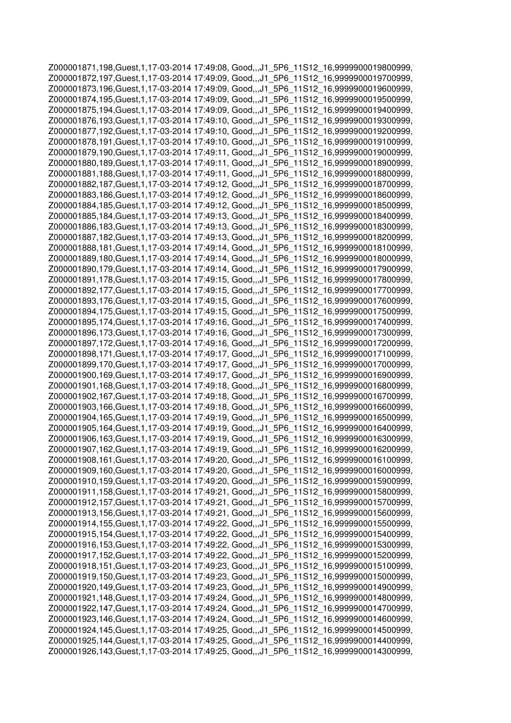Z000001871,198,Guest,1,17-03-2014 17:49:08, Good,,,J1\_5P6\_11S12\_16,9999900019800999, Z000001872,197,Guest,1,17-03-2014 17:49:09, Good,,,J1\_5P6\_11S12\_16,9999900019700999, Z000001873,196,Guest,1,17-03-2014 17:49:09, Good,,,J1\_5P6\_11S12\_16,9999900019600999, Z000001874,195,Guest,1,17-03-2014 17:49:09, Good,,,J1\_5P6\_11S12\_16,9999900019500999, Z000001875,194,Guest,1,17-03-2014 17:49:09, Good,,,J1\_5P6\_11S12\_16,9999900019400999, Z000001876,193,Guest,1,17-03-2014 17:49:10, Good,,,J1\_5P6\_11S12\_16,9999900019300999, Z000001877,192,Guest,1,17-03-2014 17:49:10, Good,,,J1\_5P6\_11S12\_16,9999900019200999, Z000001878,191,Guest,1,17-03-2014 17:49:10, Good,,,J1\_5P6\_11S12\_16,9999900019100999, Z000001879,190,Guest,1,17-03-2014 17:49:11, Good,,,J1\_5P6\_11S12\_16,9999900019000999, Z000001880,189,Guest,1,17-03-2014 17:49:11, Good,,,J1\_5P6\_11S12\_16,9999900018900999, Z000001881,188,Guest,1,17-03-2014 17:49:11, Good,,,J1\_5P6\_11S12\_16,9999900018800999, Z000001882,187,Guest,1,17-03-2014 17:49:12, Good,,,J1\_5P6\_11S12\_16,9999900018700999, Z000001883,186,Guest,1,17-03-2014 17:49:12, Good,,,J1\_5P6\_11S12\_16,9999900018600999, Z000001884,185,Guest,1,17-03-2014 17:49:12, Good,,,J1\_5P6\_11S12\_16,9999900018500999, Z000001885,184,Guest,1,17-03-2014 17:49:13, Good,,,J1\_5P6\_11S12\_16,9999900018400999, Z000001886,183,Guest,1,17-03-2014 17:49:13, Good,,,J1\_5P6\_11S12\_16,9999900018300999, Z000001887,182,Guest,1,17-03-2014 17:49:13, Good,,,J1\_5P6\_11S12\_16,9999900018200999, Z000001888,181,Guest,1,17-03-2014 17:49:14, Good,,,J1\_5P6\_11S12\_16,9999900018100999, Z000001889,180,Guest,1,17-03-2014 17:49:14, Good,,,J1\_5P6\_11S12\_16,9999900018000999, Z000001890,179,Guest,1,17-03-2014 17:49:14, Good,,,J1\_5P6\_11S12\_16,9999900017900999, Z000001891,178,Guest,1,17-03-2014 17:49:15, Good,,,J1\_5P6\_11S12\_16,9999900017800999, Z000001892,177,Guest,1,17-03-2014 17:49:15, Good,,,J1\_5P6\_11S12\_16,9999900017700999, Z000001893,176,Guest,1,17-03-2014 17:49:15, Good,,,J1\_5P6\_11S12\_16,9999900017600999, Z000001894,175,Guest,1,17-03-2014 17:49:15, Good,,,J1\_5P6\_11S12\_16,9999900017500999, Z000001895,174,Guest,1,17-03-2014 17:49:16, Good,,,J1\_5P6\_11S12\_16,9999900017400999, Z000001896,173,Guest,1,17-03-2014 17:49:16, Good,,,J1\_5P6\_11S12\_16,9999900017300999, Z000001897,172,Guest,1,17-03-2014 17:49:16, Good,,,J1\_5P6\_11S12\_16,9999900017200999, Z000001898,171,Guest,1,17-03-2014 17:49:17, Good,,,J1\_5P6\_11S12\_16,9999900017100999, Z000001899,170,Guest,1,17-03-2014 17:49:17, Good,,,J1\_5P6\_11S12\_16,9999900017000999, Z000001900,169,Guest,1,17-03-2014 17:49:17, Good,,,J1\_5P6\_11S12\_16,9999900016900999, Z000001901,168,Guest,1,17-03-2014 17:49:18, Good,,,J1\_5P6\_11S12\_16,9999900016800999, Z000001902,167,Guest,1,17-03-2014 17:49:18, Good,,,J1\_5P6\_11S12\_16,9999900016700999, Z000001903,166,Guest,1,17-03-2014 17:49:18, Good,,,J1\_5P6\_11S12\_16,9999900016600999, Z000001904,165,Guest,1,17-03-2014 17:49:19, Good,,,J1\_5P6\_11S12\_16,9999900016500999, Z000001905,164,Guest,1,17-03-2014 17:49:19, Good,,,J1\_5P6\_11S12\_16,9999900016400999, Z000001906,163,Guest,1,17-03-2014 17:49:19, Good,,,J1\_5P6\_11S12\_16,9999900016300999, Z000001907,162,Guest,1,17-03-2014 17:49:19, Good,,,J1\_5P6\_11S12\_16,9999900016200999, Z000001908,161,Guest,1,17-03-2014 17:49:20, Good,,,J1\_5P6\_11S12\_16,9999900016100999, Z000001909,160,Guest,1,17-03-2014 17:49:20, Good,,,J1\_5P6\_11S12\_16,9999900016000999, Z000001910,159,Guest,1,17-03-2014 17:49:20, Good,,,J1\_5P6\_11S12\_16,9999900015900999, Z000001911,158,Guest,1,17-03-2014 17:49:21, Good,,,J1\_5P6\_11S12\_16,9999900015800999, Z000001912,157,Guest,1,17-03-2014 17:49:21, Good,,,J1\_5P6\_11S12\_16,9999900015700999, Z000001913,156,Guest,1,17-03-2014 17:49:21, Good,,,J1\_5P6\_11S12\_16,9999900015600999, Z000001914,155,Guest,1,17-03-2014 17:49:22, Good,,,J1\_5P6\_11S12\_16,9999900015500999, Z000001915,154,Guest,1,17-03-2014 17:49:22, Good,,,J1\_5P6\_11S12\_16,9999900015400999, Z000001916,153,Guest,1,17-03-2014 17:49:22, Good,,,J1\_5P6\_11S12\_16,9999900015300999, Z000001917,152,Guest,1,17-03-2014 17:49:22, Good,,,J1\_5P6\_11S12\_16,9999900015200999, Z000001918,151,Guest,1,17-03-2014 17:49:23, Good,,,J1\_5P6\_11S12\_16,9999900015100999, Z000001919,150,Guest,1,17-03-2014 17:49:23, Good,,,J1\_5P6\_11S12\_16,9999900015000999, Z000001920,149,Guest,1,17-03-2014 17:49:23, Good,,,J1\_5P6\_11S12\_16,9999900014900999, Z000001921,148,Guest,1,17-03-2014 17:49:24, Good,,,J1\_5P6\_11S12\_16,9999900014800999, Z000001922,147,Guest,1,17-03-2014 17:49:24, Good,,,J1\_5P6\_11S12\_16,9999900014700999, Z000001923,146,Guest,1,17-03-2014 17:49:24, Good,,,J1\_5P6\_11S12\_16,9999900014600999, Z000001924,145,Guest,1,17-03-2014 17:49:25, Good,,,J1\_5P6\_11S12\_16,9999900014500999, Z000001925,144,Guest,1,17-03-2014 17:49:25, Good,,,J1\_5P6\_11S12\_16,9999900014400999, Z000001926,143,Guest,1,17-03-2014 17:49:25, Good,,,J1\_5P6\_11S12\_16,9999900014300999,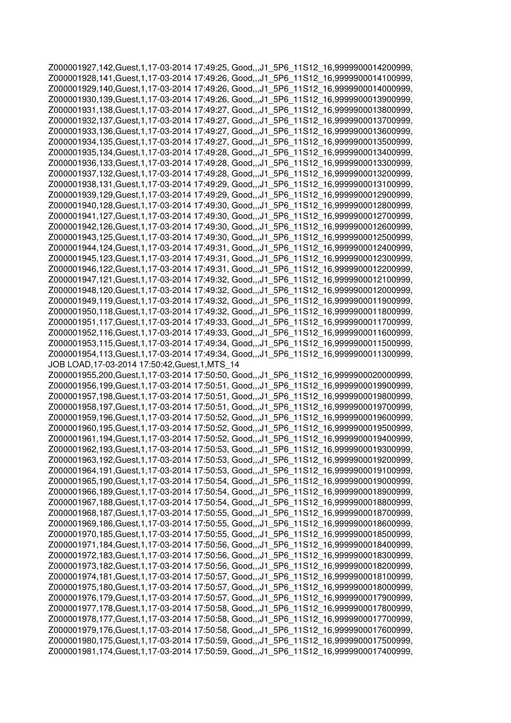Z000001927,142,Guest,1,17-03-2014 17:49:25, Good,,,J1\_5P6\_11S12\_16,9999900014200999, Z000001928,141,Guest,1,17-03-2014 17:49:26, Good,,,J1\_5P6\_11S12\_16,9999900014100999, Z000001929,140,Guest,1,17-03-2014 17:49:26, Good,,,J1\_5P6\_11S12\_16,9999900014000999, Z000001930,139,Guest,1,17-03-2014 17:49:26, Good,,,J1\_5P6\_11S12\_16,9999900013900999, Z000001931,138,Guest,1,17-03-2014 17:49:27, Good,,,J1\_5P6\_11S12\_16,9999900013800999, Z000001932,137,Guest,1,17-03-2014 17:49:27, Good,,,J1\_5P6\_11S12\_16,9999900013700999, Z000001933,136,Guest,1,17-03-2014 17:49:27, Good,,,J1\_5P6\_11S12\_16,9999900013600999, Z000001934,135,Guest,1,17-03-2014 17:49:27, Good,,,J1\_5P6\_11S12\_16,9999900013500999, Z000001935,134,Guest,1,17-03-2014 17:49:28, Good,,,J1\_5P6\_11S12\_16,9999900013400999, Z000001936,133,Guest,1,17-03-2014 17:49:28, Good,,,J1\_5P6\_11S12\_16,9999900013300999, Z000001937,132,Guest,1,17-03-2014 17:49:28, Good,,,J1\_5P6\_11S12\_16,9999900013200999, Z000001938,131,Guest,1,17-03-2014 17:49:29, Good,,,J1\_5P6\_11S12\_16,9999900013100999, Z000001939,129,Guest,1,17-03-2014 17:49:29, Good,,,J1\_5P6\_11S12\_16,9999900012900999, Z000001940,128,Guest,1,17-03-2014 17:49:30, Good,,,J1\_5P6\_11S12\_16,9999900012800999, Z000001941,127,Guest,1,17-03-2014 17:49:30, Good,,,J1\_5P6\_11S12\_16,9999900012700999, Z000001942,126,Guest,1,17-03-2014 17:49:30, Good,,,J1\_5P6\_11S12\_16,9999900012600999, Z000001943,125,Guest,1,17-03-2014 17:49:30, Good,,,J1\_5P6\_11S12\_16,9999900012500999, Z000001944,124,Guest,1,17-03-2014 17:49:31, Good,,,J1\_5P6\_11S12\_16,9999900012400999, Z000001945,123,Guest,1,17-03-2014 17:49:31, Good,,,J1\_5P6\_11S12\_16,9999900012300999, Z000001946,122,Guest,1,17-03-2014 17:49:31, Good,,,J1\_5P6\_11S12\_16,9999900012200999, Z000001947,121,Guest,1,17-03-2014 17:49:32, Good,,,J1\_5P6\_11S12\_16,9999900012100999, Z000001948,120,Guest,1,17-03-2014 17:49:32, Good,,,J1\_5P6\_11S12\_16,9999900012000999, Z000001949,119,Guest,1,17-03-2014 17:49:32, Good,,,J1\_5P6\_11S12\_16,9999900011900999, Z000001950,118,Guest,1,17-03-2014 17:49:32, Good,,,J1\_5P6\_11S12\_16,9999900011800999, Z000001951,117,Guest,1,17-03-2014 17:49:33, Good,,,J1\_5P6\_11S12\_16,9999900011700999, Z000001952,116,Guest,1,17-03-2014 17:49:33, Good,,,J1\_5P6\_11S12\_16,9999900011600999, Z000001953,115,Guest,1,17-03-2014 17:49:34, Good,,,J1\_5P6\_11S12\_16,9999900011500999, Z000001954,113,Guest,1,17-03-2014 17:49:34, Good,,,J1\_5P6\_11S12\_16,9999900011300999, JOB LOAD,17-03-2014 17:50:42,Guest,1,MTS\_14 Z000001955,200,Guest,1,17-03-2014 17:50:50, Good,,,J1\_5P6\_11S12\_16,9999900020000999, Z000001956,199,Guest,1,17-03-2014 17:50:51, Good,,,J1\_5P6\_11S12\_16,9999900019900999, Z000001957,198,Guest,1,17-03-2014 17:50:51, Good,,,J1\_5P6\_11S12\_16,9999900019800999, Z000001958,197,Guest,1,17-03-2014 17:50:51, Good,,,J1\_5P6\_11S12\_16,9999900019700999, Z000001959,196,Guest,1,17-03-2014 17:50:52, Good,,,J1\_5P6\_11S12\_16,9999900019600999, Z000001960,195,Guest,1,17-03-2014 17:50:52, Good,,,J1\_5P6\_11S12\_16,9999900019500999, Z000001961,194,Guest,1,17-03-2014 17:50:52, Good,,,J1\_5P6\_11S12\_16,9999900019400999, Z000001962,193,Guest,1,17-03-2014 17:50:53, Good,,,J1\_5P6\_11S12\_16,9999900019300999, Z000001963,192,Guest,1,17-03-2014 17:50:53, Good,,,J1\_5P6\_11S12\_16,9999900019200999, Z000001964,191,Guest,1,17-03-2014 17:50:53, Good,,,J1\_5P6\_11S12\_16,9999900019100999, Z000001965,190,Guest,1,17-03-2014 17:50:54, Good,,,J1\_5P6\_11S12\_16,9999900019000999, Z000001966,189,Guest,1,17-03-2014 17:50:54, Good,,,J1\_5P6\_11S12\_16,9999900018900999, Z000001967,188,Guest,1,17-03-2014 17:50:54, Good,,,J1\_5P6\_11S12\_16,9999900018800999, Z000001968,187,Guest,1,17-03-2014 17:50:55, Good,,,J1\_5P6\_11S12\_16,9999900018700999, Z000001969,186,Guest,1,17-03-2014 17:50:55, Good,,,J1\_5P6\_11S12\_16,9999900018600999, Z000001970,185,Guest,1,17-03-2014 17:50:55, Good,,,J1\_5P6\_11S12\_16,9999900018500999, Z000001971,184,Guest,1,17-03-2014 17:50:56, Good,,,J1\_5P6\_11S12\_16,9999900018400999, Z000001972,183,Guest,1,17-03-2014 17:50:56, Good,,,J1\_5P6\_11S12\_16,9999900018300999, Z000001973,182,Guest,1,17-03-2014 17:50:56, Good,,,J1\_5P6\_11S12\_16,9999900018200999, Z000001974,181,Guest,1,17-03-2014 17:50:57, Good,,,J1\_5P6\_11S12\_16,9999900018100999, Z000001975,180,Guest,1,17-03-2014 17:50:57, Good,,,J1\_5P6\_11S12\_16,9999900018000999, Z000001976,179,Guest,1,17-03-2014 17:50:57, Good,,,J1\_5P6\_11S12\_16,9999900017900999, Z000001977,178,Guest,1,17-03-2014 17:50:58, Good,,,J1\_5P6\_11S12\_16,9999900017800999, Z000001978,177,Guest,1,17-03-2014 17:50:58, Good,,,J1\_5P6\_11S12\_16,9999900017700999, Z000001979,176,Guest,1,17-03-2014 17:50:58, Good,,,J1\_5P6\_11S12\_16,9999900017600999, Z000001980,175,Guest,1,17-03-2014 17:50:59, Good,,,J1\_5P6\_11S12\_16,9999900017500999, Z000001981,174,Guest,1,17-03-2014 17:50:59, Good,,,J1\_5P6\_11S12\_16,9999900017400999,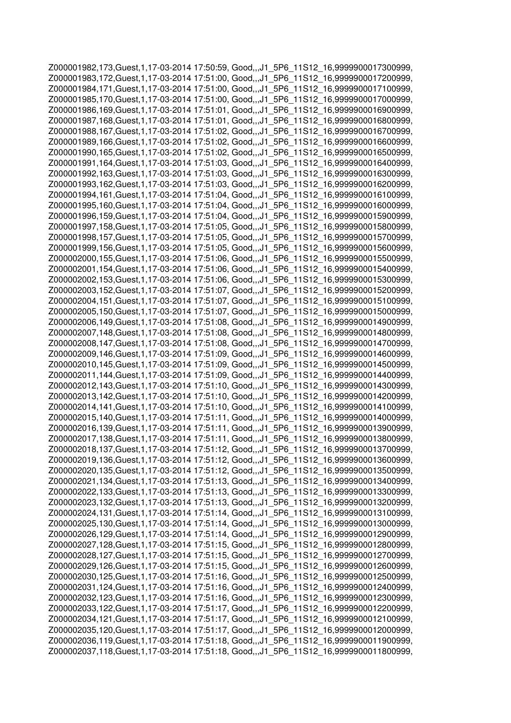Z000001982,173,Guest,1,17-03-2014 17:50:59, Good,,,J1\_5P6\_11S12\_16,9999900017300999, Z000001983,172,Guest,1,17-03-2014 17:51:00, Good,,,J1\_5P6\_11S12\_16,9999900017200999, Z000001984,171,Guest,1,17-03-2014 17:51:00, Good,,,J1\_5P6\_11S12\_16,9999900017100999, Z000001985,170,Guest,1,17-03-2014 17:51:00, Good,,,J1\_5P6\_11S12\_16,9999900017000999, Z000001986,169,Guest,1,17-03-2014 17:51:01, Good,,,J1\_5P6\_11S12\_16,9999900016900999, Z000001987,168,Guest,1,17-03-2014 17:51:01, Good,,,J1\_5P6\_11S12\_16,9999900016800999, Z000001988,167,Guest,1,17-03-2014 17:51:02, Good,,,J1\_5P6\_11S12\_16,9999900016700999, Z000001989,166,Guest,1,17-03-2014 17:51:02, Good,,,J1\_5P6\_11S12\_16,9999900016600999, Z000001990,165,Guest,1,17-03-2014 17:51:02, Good,,,J1\_5P6\_11S12\_16,9999900016500999, Z000001991,164,Guest,1,17-03-2014 17:51:03, Good,,,J1\_5P6\_11S12\_16,9999900016400999, Z000001992,163,Guest,1,17-03-2014 17:51:03, Good,,,J1\_5P6\_11S12\_16,9999900016300999, Z000001993,162,Guest,1,17-03-2014 17:51:03, Good,,,J1\_5P6\_11S12\_16,9999900016200999, Z000001994,161,Guest,1,17-03-2014 17:51:04, Good,,,J1\_5P6\_11S12\_16,9999900016100999, Z000001995,160,Guest,1,17-03-2014 17:51:04, Good,,,J1\_5P6\_11S12\_16,9999900016000999, Z000001996,159,Guest,1,17-03-2014 17:51:04, Good,,,J1\_5P6\_11S12\_16,9999900015900999, Z000001997,158,Guest,1,17-03-2014 17:51:05, Good,,,J1\_5P6\_11S12\_16,9999900015800999, Z000001998,157,Guest,1,17-03-2014 17:51:05, Good,,,J1\_5P6\_11S12\_16,9999900015700999, Z000001999,156,Guest,1,17-03-2014 17:51:05, Good,,,J1\_5P6\_11S12\_16,9999900015600999, Z000002000,155,Guest,1,17-03-2014 17:51:06, Good,,,J1\_5P6\_11S12\_16,9999900015500999, Z000002001,154,Guest,1,17-03-2014 17:51:06, Good,,,J1\_5P6\_11S12\_16,9999900015400999, Z000002002,153,Guest,1,17-03-2014 17:51:06, Good,,,J1\_5P6\_11S12\_16,9999900015300999, Z000002003,152,Guest,1,17-03-2014 17:51:07, Good,,,J1\_5P6\_11S12\_16,9999900015200999, Z000002004,151,Guest,1,17-03-2014 17:51:07, Good,,,J1\_5P6\_11S12\_16,9999900015100999, Z000002005,150,Guest,1,17-03-2014 17:51:07, Good,,,J1\_5P6\_11S12\_16,9999900015000999, Z000002006,149,Guest,1,17-03-2014 17:51:08, Good,,,J1\_5P6\_11S12\_16,9999900014900999, Z000002007,148,Guest,1,17-03-2014 17:51:08, Good,,,J1\_5P6\_11S12\_16,9999900014800999, Z000002008,147,Guest,1,17-03-2014 17:51:08, Good,,,J1\_5P6\_11S12\_16,9999900014700999, Z000002009,146,Guest,1,17-03-2014 17:51:09, Good,,,J1\_5P6\_11S12\_16,9999900014600999, Z000002010,145,Guest,1,17-03-2014 17:51:09, Good,,,J1\_5P6\_11S12\_16,9999900014500999, Z000002011,144,Guest,1,17-03-2014 17:51:09, Good,,,J1\_5P6\_11S12\_16,9999900014400999, Z000002012,143,Guest,1,17-03-2014 17:51:10, Good,,,J1\_5P6\_11S12\_16,9999900014300999, Z000002013,142,Guest,1,17-03-2014 17:51:10, Good,,,J1\_5P6\_11S12\_16,9999900014200999, Z000002014,141,Guest,1,17-03-2014 17:51:10, Good,,,J1\_5P6\_11S12\_16,9999900014100999, Z000002015,140,Guest,1,17-03-2014 17:51:11, Good,,,J1\_5P6\_11S12\_16,9999900014000999, Z000002016,139,Guest,1,17-03-2014 17:51:11, Good,,,J1\_5P6\_11S12\_16,9999900013900999, Z000002017,138,Guest,1,17-03-2014 17:51:11, Good,,,J1\_5P6\_11S12\_16,9999900013800999, Z000002018,137,Guest,1,17-03-2014 17:51:12, Good,,,J1\_5P6\_11S12\_16,9999900013700999, Z000002019,136,Guest,1,17-03-2014 17:51:12, Good,,,J1\_5P6\_11S12\_16,9999900013600999, Z000002020,135,Guest,1,17-03-2014 17:51:12, Good,,,J1\_5P6\_11S12\_16,9999900013500999, Z000002021,134,Guest,1,17-03-2014 17:51:13, Good,,,J1\_5P6\_11S12\_16,9999900013400999, Z000002022,133,Guest,1,17-03-2014 17:51:13, Good,,,J1\_5P6\_11S12\_16,9999900013300999, Z000002023,132,Guest,1,17-03-2014 17:51:13, Good,,,J1\_5P6\_11S12\_16,9999900013200999, Z000002024,131,Guest,1,17-03-2014 17:51:14, Good,,,J1\_5P6\_11S12\_16,9999900013100999, Z000002025,130,Guest,1,17-03-2014 17:51:14, Good,,,J1\_5P6\_11S12\_16,9999900013000999, Z000002026,129,Guest,1,17-03-2014 17:51:14, Good,,,J1\_5P6\_11S12\_16,9999900012900999, Z000002027,128,Guest,1,17-03-2014 17:51:15, Good,,,J1\_5P6\_11S12\_16,9999900012800999, Z000002028,127,Guest,1,17-03-2014 17:51:15, Good,,,J1\_5P6\_11S12\_16,9999900012700999, Z000002029,126,Guest,1,17-03-2014 17:51:15, Good,,,J1\_5P6\_11S12\_16,9999900012600999, Z000002030,125,Guest,1,17-03-2014 17:51:16, Good,,,J1\_5P6\_11S12\_16,9999900012500999, Z000002031,124,Guest,1,17-03-2014 17:51:16, Good,,,J1\_5P6\_11S12\_16,9999900012400999, Z000002032,123,Guest,1,17-03-2014 17:51:16, Good,,,J1\_5P6\_11S12\_16,9999900012300999, Z000002033,122,Guest,1,17-03-2014 17:51:17, Good,,,J1\_5P6\_11S12\_16,9999900012200999, Z000002034,121,Guest,1,17-03-2014 17:51:17, Good,,,J1\_5P6\_11S12\_16,9999900012100999, Z000002035,120,Guest,1,17-03-2014 17:51:17, Good,,,J1\_5P6\_11S12\_16,9999900012000999, Z000002036,119,Guest,1,17-03-2014 17:51:18, Good,,,J1\_5P6\_11S12\_16,9999900011900999, Z000002037,118,Guest,1,17-03-2014 17:51:18, Good,,,J1\_5P6\_11S12\_16,9999900011800999,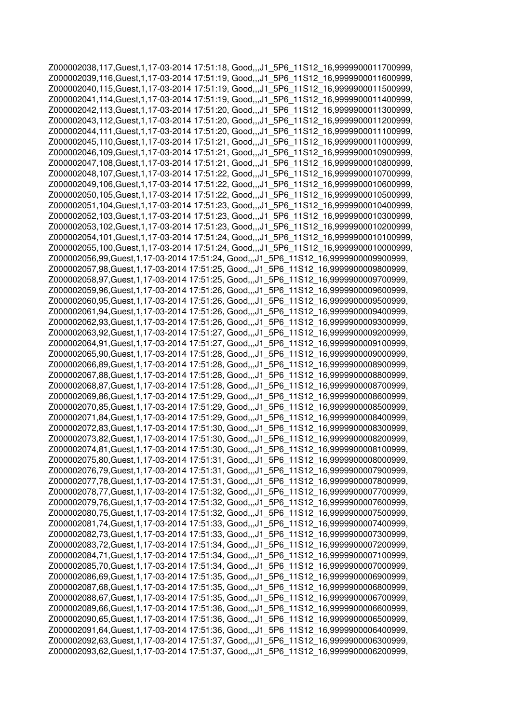Z000002038,117,Guest,1,17-03-2014 17:51:18, Good,,,J1\_5P6\_11S12\_16,9999900011700999, Z000002039,116,Guest,1,17-03-2014 17:51:19, Good,,,J1\_5P6\_11S12\_16,9999900011600999, Z000002040,115,Guest,1,17-03-2014 17:51:19, Good,,,J1\_5P6\_11S12\_16,9999900011500999, Z000002041,114,Guest,1,17-03-2014 17:51:19, Good,,,J1\_5P6\_11S12\_16,9999900011400999, Z000002042,113,Guest,1,17-03-2014 17:51:20, Good,,,J1\_5P6\_11S12\_16,9999900011300999, Z000002043,112,Guest,1,17-03-2014 17:51:20, Good,,,J1\_5P6\_11S12\_16,9999900011200999, Z000002044,111,Guest,1,17-03-2014 17:51:20, Good,,,J1\_5P6\_11S12\_16,9999900011100999, Z000002045,110,Guest,1,17-03-2014 17:51:21, Good,,,J1\_5P6\_11S12\_16,9999900011000999, Z000002046,109,Guest,1,17-03-2014 17:51:21, Good,,,J1\_5P6\_11S12\_16,9999900010900999, Z000002047,108,Guest,1,17-03-2014 17:51:21, Good,,,J1\_5P6\_11S12\_16,9999900010800999, Z000002048,107,Guest,1,17-03-2014 17:51:22, Good,,,J1\_5P6\_11S12\_16,9999900010700999, Z000002049,106,Guest,1,17-03-2014 17:51:22, Good,,,J1\_5P6\_11S12\_16,9999900010600999, Z000002050,105,Guest,1,17-03-2014 17:51:22, Good,,,J1\_5P6\_11S12\_16,9999900010500999, Z000002051,104,Guest,1,17-03-2014 17:51:23, Good,,,J1\_5P6\_11S12\_16,9999900010400999, Z000002052,103,Guest,1,17-03-2014 17:51:23, Good,,,J1\_5P6\_11S12\_16,9999900010300999, Z000002053,102,Guest,1,17-03-2014 17:51:23, Good,,,J1\_5P6\_11S12\_16,9999900010200999, Z000002054,101,Guest,1,17-03-2014 17:51:24, Good,,,J1\_5P6\_11S12\_16,9999900010100999, Z000002055,100,Guest,1,17-03-2014 17:51:24, Good,,,J1\_5P6\_11S12\_16,9999900010000999, Z000002056,99,Guest,1,17-03-2014 17:51:24, Good,,,J1\_5P6\_11S12\_16,9999900009900999, Z000002057,98,Guest,1,17-03-2014 17:51:25, Good,,,J1\_5P6\_11S12\_16,9999900009800999, Z000002058,97,Guest,1,17-03-2014 17:51:25, Good,,,J1\_5P6\_11S12\_16,9999900009700999, Z000002059,96,Guest,1,17-03-2014 17:51:26, Good,,,J1\_5P6\_11S12\_16,9999900009600999, Z000002060,95,Guest,1,17-03-2014 17:51:26, Good,,,J1\_5P6\_11S12\_16,9999900009500999, Z000002061,94,Guest,1,17-03-2014 17:51:26, Good,,,J1\_5P6\_11S12\_16,9999900009400999, Z000002062,93,Guest,1,17-03-2014 17:51:26, Good,,,J1\_5P6\_11S12\_16,9999900009300999, Z000002063,92,Guest,1,17-03-2014 17:51:27, Good,,,J1\_5P6\_11S12\_16,9999900009200999, Z000002064,91,Guest,1,17-03-2014 17:51:27, Good,,,J1\_5P6\_11S12\_16,9999900009100999, Z000002065,90,Guest,1,17-03-2014 17:51:28, Good,,,J1\_5P6\_11S12\_16,9999900009000999, Z000002066,89,Guest,1,17-03-2014 17:51:28, Good,,,J1\_5P6\_11S12\_16,9999900008900999, Z000002067,88,Guest,1,17-03-2014 17:51:28, Good,,,J1\_5P6\_11S12\_16,9999900008800999, Z000002068,87,Guest,1,17-03-2014 17:51:28, Good,,,J1\_5P6\_11S12\_16,9999900008700999, Z000002069,86,Guest,1,17-03-2014 17:51:29, Good,,,J1\_5P6\_11S12\_16,9999900008600999, Z000002070,85,Guest,1,17-03-2014 17:51:29, Good,,,J1\_5P6\_11S12\_16,9999900008500999, Z000002071,84,Guest,1,17-03-2014 17:51:29, Good,,,J1\_5P6\_11S12\_16,9999900008400999, Z000002072,83,Guest,1,17-03-2014 17:51:30, Good,,,J1\_5P6\_11S12\_16,9999900008300999, Z000002073,82,Guest,1,17-03-2014 17:51:30, Good,,,J1\_5P6\_11S12\_16,9999900008200999, Z000002074,81,Guest,1,17-03-2014 17:51:30, Good,,,J1\_5P6\_11S12\_16,9999900008100999, Z000002075,80,Guest,1,17-03-2014 17:51:31, Good,,,J1\_5P6\_11S12\_16,9999900008000999, Z000002076,79,Guest,1,17-03-2014 17:51:31, Good,,,J1\_5P6\_11S12\_16,9999900007900999, Z000002077,78,Guest,1,17-03-2014 17:51:31, Good,,,J1\_5P6\_11S12\_16,9999900007800999, Z000002078,77,Guest,1,17-03-2014 17:51:32, Good,,,J1\_5P6\_11S12\_16,9999900007700999, Z000002079,76,Guest,1,17-03-2014 17:51:32, Good,,,J1\_5P6\_11S12\_16,9999900007600999, Z000002080,75,Guest,1,17-03-2014 17:51:32, Good,,,J1\_5P6\_11S12\_16,9999900007500999, Z000002081,74,Guest,1,17-03-2014 17:51:33, Good,,,J1\_5P6\_11S12\_16,9999900007400999, Z000002082,73,Guest,1,17-03-2014 17:51:33, Good,,,J1\_5P6\_11S12\_16,9999900007300999, Z000002083,72,Guest,1,17-03-2014 17:51:34, Good,,,J1\_5P6\_11S12\_16,9999900007200999, Z000002084,71,Guest,1,17-03-2014 17:51:34, Good,,,J1\_5P6\_11S12\_16,9999900007100999, Z000002085,70,Guest,1,17-03-2014 17:51:34, Good,,,J1\_5P6\_11S12\_16,9999900007000999, Z000002086,69,Guest,1,17-03-2014 17:51:35, Good,,,J1\_5P6\_11S12\_16,9999900006900999, Z000002087,68,Guest,1,17-03-2014 17:51:35, Good,,,J1\_5P6\_11S12\_16,9999900006800999, Z000002088,67,Guest,1,17-03-2014 17:51:35, Good,,,J1\_5P6\_11S12\_16,9999900006700999, Z000002089,66,Guest,1,17-03-2014 17:51:36, Good,,,J1\_5P6\_11S12\_16,9999900006600999, Z000002090,65,Guest,1,17-03-2014 17:51:36, Good,,,J1\_5P6\_11S12\_16,9999900006500999, Z000002091,64,Guest,1,17-03-2014 17:51:36, Good,,,J1\_5P6\_11S12\_16,9999900006400999, Z000002092,63,Guest,1,17-03-2014 17:51:37, Good,,,J1\_5P6\_11S12\_16,9999900006300999, Z000002093,62,Guest,1,17-03-2014 17:51:37, Good,,,J1\_5P6\_11S12\_16,9999900006200999,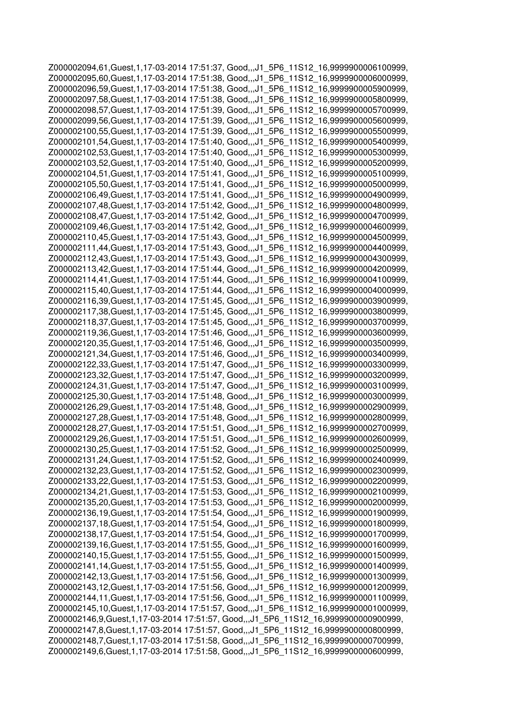Z000002094,61,Guest,1,17-03-2014 17:51:37, Good,,,J1\_5P6\_11S12\_16,9999900006100999, Z000002095,60,Guest,1,17-03-2014 17:51:38, Good,,,J1\_5P6\_11S12\_16,9999900006000999, Z000002096,59,Guest,1,17-03-2014 17:51:38, Good,,,J1\_5P6\_11S12\_16,9999900005900999, Z000002097,58,Guest,1,17-03-2014 17:51:38, Good,,,J1\_5P6\_11S12\_16,9999900005800999, Z000002098,57,Guest,1,17-03-2014 17:51:39, Good,,,J1\_5P6\_11S12\_16,9999900005700999, Z000002099,56,Guest,1,17-03-2014 17:51:39, Good,,,J1\_5P6\_11S12\_16,9999900005600999, Z000002100,55,Guest,1,17-03-2014 17:51:39, Good,,,J1\_5P6\_11S12\_16,9999900005500999, Z000002101,54,Guest,1,17-03-2014 17:51:40, Good,,,J1\_5P6\_11S12\_16,9999900005400999, Z000002102,53,Guest,1,17-03-2014 17:51:40, Good,,,J1\_5P6\_11S12\_16,9999900005300999, Z000002103,52,Guest,1,17-03-2014 17:51:40, Good,,,J1\_5P6\_11S12\_16,9999900005200999, Z000002104,51,Guest,1,17-03-2014 17:51:41, Good,,,J1\_5P6\_11S12\_16,9999900005100999, Z000002105,50,Guest,1,17-03-2014 17:51:41, Good,,,J1\_5P6\_11S12\_16,9999900005000999, Z000002106,49,Guest,1,17-03-2014 17:51:41, Good,,,J1\_5P6\_11S12\_16,9999900004900999, Z000002107,48,Guest,1,17-03-2014 17:51:42, Good,,,J1\_5P6\_11S12\_16,9999900004800999, Z000002108,47,Guest,1,17-03-2014 17:51:42, Good,,,J1\_5P6\_11S12\_16,9999900004700999, Z000002109,46,Guest,1,17-03-2014 17:51:42, Good,,,J1\_5P6\_11S12\_16,9999900004600999, Z000002110,45,Guest,1,17-03-2014 17:51:43, Good,,,J1\_5P6\_11S12\_16,9999900004500999, Z000002111,44,Guest,1,17-03-2014 17:51:43, Good,,,J1\_5P6\_11S12\_16,9999900004400999, Z000002112,43,Guest,1,17-03-2014 17:51:43, Good,,,J1\_5P6\_11S12\_16,9999900004300999, Z000002113,42,Guest,1,17-03-2014 17:51:44, Good,,,J1\_5P6\_11S12\_16,9999900004200999, Z000002114,41,Guest,1,17-03-2014 17:51:44, Good,,,J1\_5P6\_11S12\_16,9999900004100999, Z000002115,40,Guest,1,17-03-2014 17:51:44, Good,,,J1\_5P6\_11S12\_16,9999900004000999, Z000002116,39,Guest,1,17-03-2014 17:51:45, Good,,,J1\_5P6\_11S12\_16,9999900003900999, Z000002117,38,Guest,1,17-03-2014 17:51:45, Good,,,J1\_5P6\_11S12\_16,9999900003800999, Z000002118,37,Guest,1,17-03-2014 17:51:45, Good,,,J1\_5P6\_11S12\_16,9999900003700999, Z000002119,36,Guest,1,17-03-2014 17:51:46, Good,,,J1\_5P6\_11S12\_16,9999900003600999, Z000002120,35,Guest,1,17-03-2014 17:51:46, Good,,,J1\_5P6\_11S12\_16,9999900003500999, Z000002121,34,Guest,1,17-03-2014 17:51:46, Good,,,J1\_5P6\_11S12\_16,9999900003400999, Z000002122,33,Guest,1,17-03-2014 17:51:47, Good,,,J1\_5P6\_11S12\_16,9999900003300999, Z000002123,32,Guest,1,17-03-2014 17:51:47, Good,,,J1\_5P6\_11S12\_16,9999900003200999, Z000002124,31,Guest,1,17-03-2014 17:51:47, Good,,,J1\_5P6\_11S12\_16,9999900003100999, Z000002125,30,Guest,1,17-03-2014 17:51:48, Good,,,J1\_5P6\_11S12\_16,9999900003000999, Z000002126,29,Guest,1,17-03-2014 17:51:48, Good,,,J1\_5P6\_11S12\_16,9999900002900999, Z000002127,28,Guest,1,17-03-2014 17:51:48, Good,,,J1\_5P6\_11S12\_16,9999900002800999, Z000002128,27,Guest,1,17-03-2014 17:51:51, Good,,,J1\_5P6\_11S12\_16,9999900002700999, Z000002129,26,Guest,1,17-03-2014 17:51:51, Good,,,J1\_5P6\_11S12\_16,9999900002600999, Z000002130,25,Guest,1,17-03-2014 17:51:52, Good,,,J1\_5P6\_11S12\_16,9999900002500999, Z000002131,24,Guest,1,17-03-2014 17:51:52, Good,,,J1\_5P6\_11S12\_16,9999900002400999, Z000002132,23,Guest,1,17-03-2014 17:51:52, Good,,,J1\_5P6\_11S12\_16,9999900002300999, Z000002133,22,Guest,1,17-03-2014 17:51:53, Good,,,J1\_5P6\_11S12\_16,9999900002200999, Z000002134,21,Guest,1,17-03-2014 17:51:53, Good,,,J1\_5P6\_11S12\_16,9999900002100999, Z000002135,20,Guest,1,17-03-2014 17:51:53, Good,,,J1\_5P6\_11S12\_16,9999900002000999, Z000002136,19,Guest,1,17-03-2014 17:51:54, Good,,,J1\_5P6\_11S12\_16,9999900001900999, Z000002137,18,Guest,1,17-03-2014 17:51:54, Good,,,J1\_5P6\_11S12\_16,9999900001800999, Z000002138,17,Guest,1,17-03-2014 17:51:54, Good,,,J1\_5P6\_11S12\_16,9999900001700999, Z000002139,16,Guest,1,17-03-2014 17:51:55, Good,,,J1\_5P6\_11S12\_16,9999900001600999, Z000002140,15,Guest,1,17-03-2014 17:51:55, Good,,,J1\_5P6\_11S12\_16,9999900001500999, Z000002141,14,Guest,1,17-03-2014 17:51:55, Good,,,J1\_5P6\_11S12\_16,9999900001400999, Z000002142,13,Guest,1,17-03-2014 17:51:56, Good,,,J1\_5P6\_11S12\_16,9999900001300999, Z000002143,12,Guest,1,17-03-2014 17:51:56, Good,,,J1\_5P6\_11S12\_16,9999900001200999, Z000002144,11,Guest,1,17-03-2014 17:51:56, Good,,,J1\_5P6\_11S12\_16,9999900001100999, Z000002145,10,Guest,1,17-03-2014 17:51:57, Good,,,J1\_5P6\_11S12\_16,9999900001000999, Z000002146,9,Guest,1,17-03-2014 17:51:57, Good,,,J1\_5P6\_11S12\_16,9999900000900999, Z000002147,8,Guest,1,17-03-2014 17:51:57, Good,,,J1\_5P6\_11S12\_16,9999900000800999, Z000002148,7,Guest,1,17-03-2014 17:51:58, Good,,,J1\_5P6\_11S12\_16,9999900000700999, Z000002149,6,Guest,1,17-03-2014 17:51:58, Good,,,J1\_5P6\_11S12\_16,9999900000600999,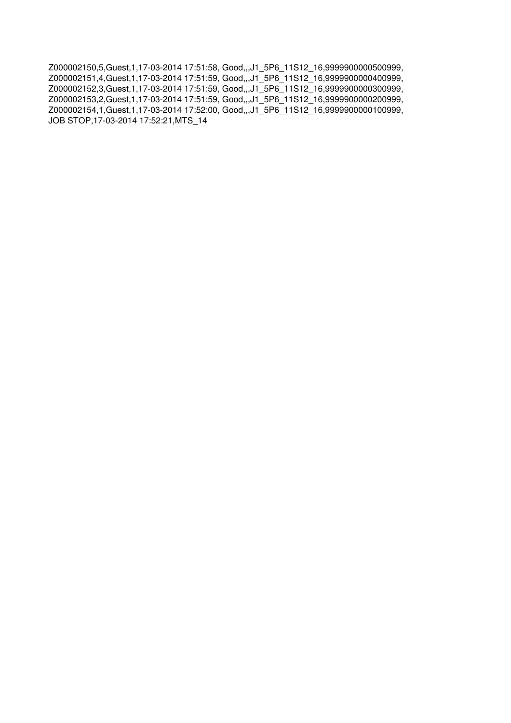Z000002150,5,Guest,1,17-03-2014 17:51:58, Good,,,J1\_5P6\_11S12\_16,9999900000500999, Z000002151,4,Guest,1,17-03-2014 17:51:59, Good,,,J1\_5P6\_11S12\_16,9999900000400999, Z000002152,3,Guest,1,17-03-2014 17:51:59, Good,,,J1\_5P6\_11S12\_16,9999900000300999, Z000002153,2,Guest,1,17-03-2014 17:51:59, Good,,,J1\_5P6\_11S12\_16,9999900000200999, Z000002154,1,Guest,1,17-03-2014 17:52:00, Good,,,J1\_5P6\_11S12\_16,9999900000100999, JOB STOP,17-03-2014 17:52:21,MTS\_14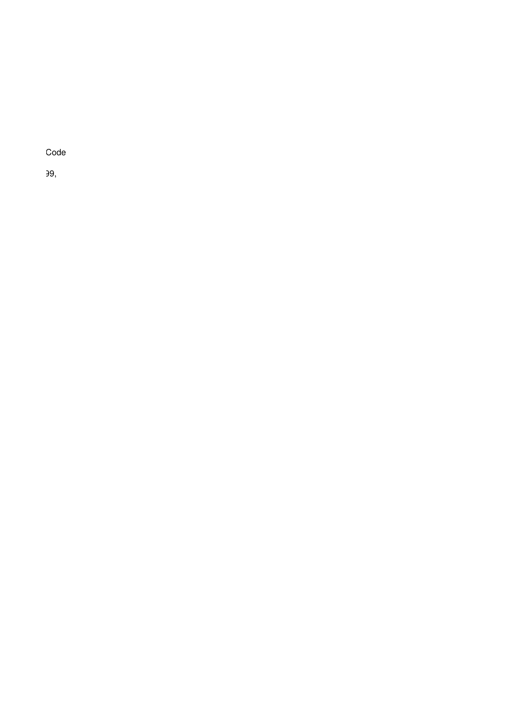Log ID,Pack No,Operator,Mode,Date Time,Status,Action,Error List,RDU Format,RDU Read,Handover Code

 $29,$